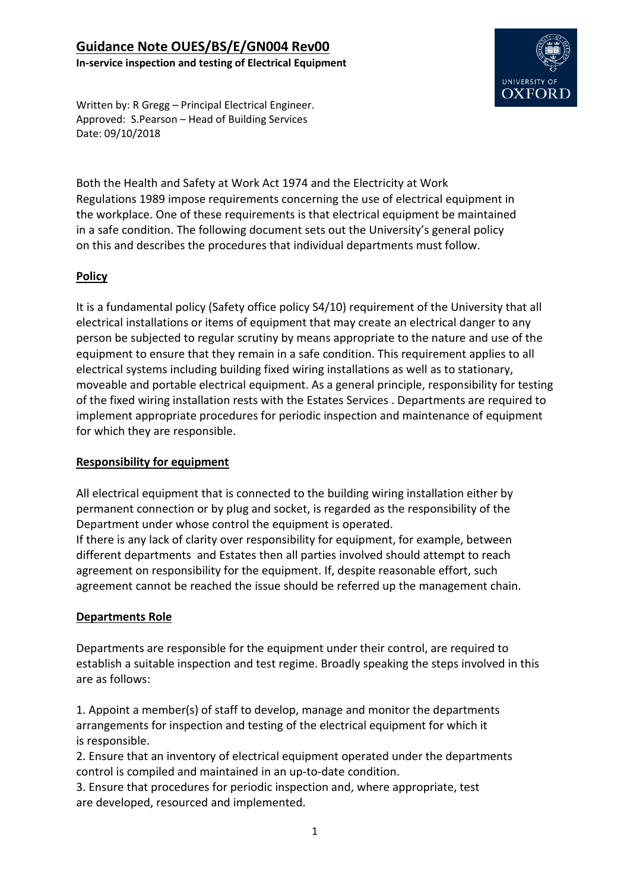

Written by: R Gregg – Principal Electrical Engineer. Approved: S.Pearson – Head of Building Services Date: 09/10/2018

Both the Health and Safety at Work Act 1974 and the Electricity at Work Regulations 1989 impose requirements concerning the use of electrical equipment in the workplace. One of these requirements is that electrical equipment be maintained in a safe condition. The following document sets out the University's general policy on this and describes the procedures that individual departments must follow.

### **Policy**

It is a fundamental policy (Safety office policy S4/10) requirement of the University that all electrical installations or items of equipment that may create an electrical danger to any person be subjected to regular scrutiny by means appropriate to the nature and use of the equipment to ensure that they remain in a safe condition. This requirement applies to all electrical systems including building fixed wiring installations as well as to stationary, moveable and portable electrical equipment. As a general principle, responsibility for testing of the fixed wiring installation rests with the Estates Services . Departments are required to implement appropriate procedures for periodic inspection and maintenance of equipment for which they are responsible.

#### **Responsibility for equipment**

All electrical equipment that is connected to the building wiring installation either by permanent connection or by plug and socket, is regarded as the responsibility of the Department under whose control the equipment is operated.

If there is any lack of clarity over responsibility for equipment, for example, between different departments and Estates then all parties involved should attempt to reach agreement on responsibility for the equipment. If, despite reasonable effort, such agreement cannot be reached the issue should be referred up the management chain.

#### **Departments Role**

Departments are responsible for the equipment under their control, are required to establish a suitable inspection and test regime. Broadly speaking the steps involved in this are as follows:

1. Appoint a member(s) of staff to develop, manage and monitor the departments arrangements for inspection and testing of the electrical equipment for which it is responsible.

2. Ensure that an inventory of electrical equipment operated under the departments control is compiled and maintained in an up-to-date condition.

3. Ensure that procedures for periodic inspection and, where appropriate, test are developed, resourced and implemented.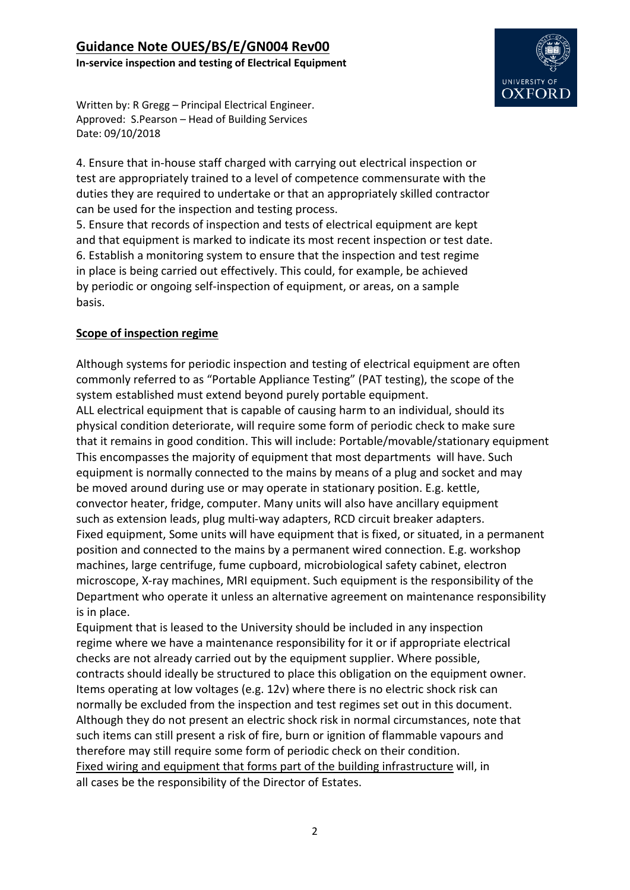

Written by: R Gregg – Principal Electrical Engineer. Approved: S.Pearson – Head of Building Services Date: 09/10/2018

4. Ensure that in-house staff charged with carrying out electrical inspection or test are appropriately trained to a level of competence commensurate with the duties they are required to undertake or that an appropriately skilled contractor can be used for the inspection and testing process.

5. Ensure that records of inspection and tests of electrical equipment are kept and that equipment is marked to indicate its most recent inspection or test date. 6. Establish a monitoring system to ensure that the inspection and test regime in place is being carried out effectively. This could, for example, be achieved by periodic or ongoing self-inspection of equipment, or areas, on a sample basis.

### **Scope of inspection regime**

Although systems for periodic inspection and testing of electrical equipment are often commonly referred to as "Portable Appliance Testing" (PAT testing), the scope of the system established must extend beyond purely portable equipment.

ALL electrical equipment that is capable of causing harm to an individual, should its physical condition deteriorate, will require some form of periodic check to make sure that it remains in good condition. This will include: Portable/movable/stationary equipment This encompasses the majority of equipment that most departments will have. Such equipment is normally connected to the mains by means of a plug and socket and may be moved around during use or may operate in stationary position. E.g. kettle, convector heater, fridge, computer. Many units will also have ancillary equipment such as extension leads, plug multi-way adapters, RCD circuit breaker adapters. Fixed equipment, Some units will have equipment that is fixed, or situated, in a permanent position and connected to the mains by a permanent wired connection. E.g. workshop machines, large centrifuge, fume cupboard, microbiological safety cabinet, electron microscope, X-ray machines, MRI equipment. Such equipment is the responsibility of the Department who operate it unless an alternative agreement on maintenance responsibility is in place.

Equipment that is leased to the University should be included in any inspection regime where we have a maintenance responsibility for it or if appropriate electrical checks are not already carried out by the equipment supplier. Where possible, contracts should ideally be structured to place this obligation on the equipment owner. Items operating at low voltages (e.g. 12v) where there is no electric shock risk can normally be excluded from the inspection and test regimes set out in this document. Although they do not present an electric shock risk in normal circumstances, note that such items can still present a risk of fire, burn or ignition of flammable vapours and therefore may still require some form of periodic check on their condition. Fixed wiring and equipment that forms part of the building infrastructure will, in all cases be the responsibility of the Director of Estates.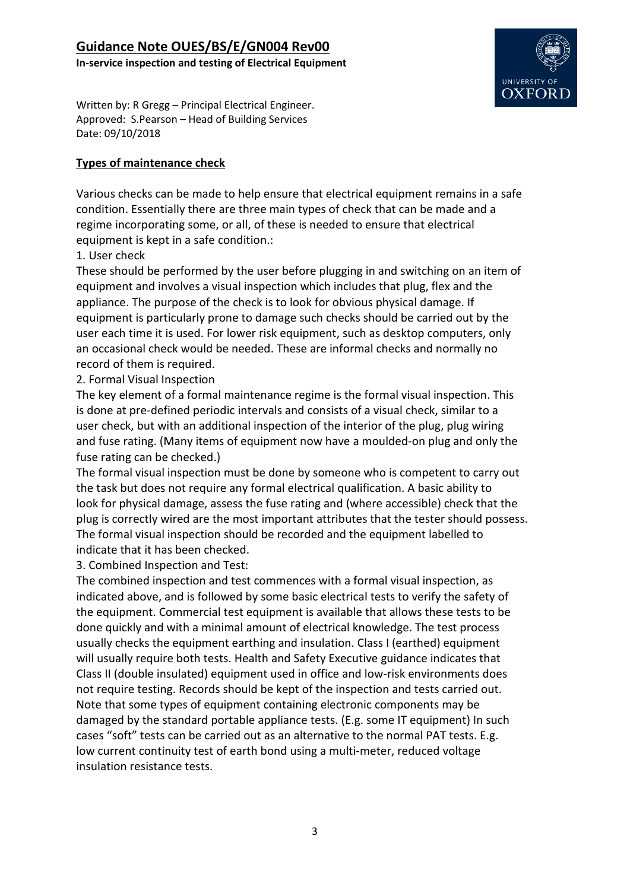

Written by: R Gregg – Principal Electrical Engineer. Approved: S.Pearson – Head of Building Services Date: 09/10/2018

#### **Types of maintenance check**

Various checks can be made to help ensure that electrical equipment remains in a safe condition. Essentially there are three main types of check that can be made and a regime incorporating some, or all, of these is needed to ensure that electrical equipment is kept in a safe condition.:

1. User check

These should be performed by the user before plugging in and switching on an item of equipment and involves a visual inspection which includes that plug, flex and the appliance. The purpose of the check is to look for obvious physical damage. If equipment is particularly prone to damage such checks should be carried out by the user each time it is used. For lower risk equipment, such as desktop computers, only an occasional check would be needed. These are informal checks and normally no record of them is required.

2. Formal Visual Inspection

The key element of a formal maintenance regime is the formal visual inspection. This is done at pre-defined periodic intervals and consists of a visual check, similar to a user check, but with an additional inspection of the interior of the plug, plug wiring and fuse rating. (Many items of equipment now have a moulded-on plug and only the fuse rating can be checked.)

The formal visual inspection must be done by someone who is competent to carry out the task but does not require any formal electrical qualification. A basic ability to look for physical damage, assess the fuse rating and (where accessible) check that the plug is correctly wired are the most important attributes that the tester should possess. The formal visual inspection should be recorded and the equipment labelled to indicate that it has been checked.

3. Combined Inspection and Test:

The combined inspection and test commences with a formal visual inspection, as indicated above, and is followed by some basic electrical tests to verify the safety of the equipment. Commercial test equipment is available that allows these tests to be done quickly and with a minimal amount of electrical knowledge. The test process usually checks the equipment earthing and insulation. Class I (earthed) equipment will usually require both tests. Health and Safety Executive guidance indicates that Class II (double insulated) equipment used in office and low-risk environments does not require testing. Records should be kept of the inspection and tests carried out. Note that some types of equipment containing electronic components may be damaged by the standard portable appliance tests. (E.g. some IT equipment) In such cases "soft" tests can be carried out as an alternative to the normal PAT tests. E.g. low current continuity test of earth bond using a multi-meter, reduced voltage insulation resistance tests.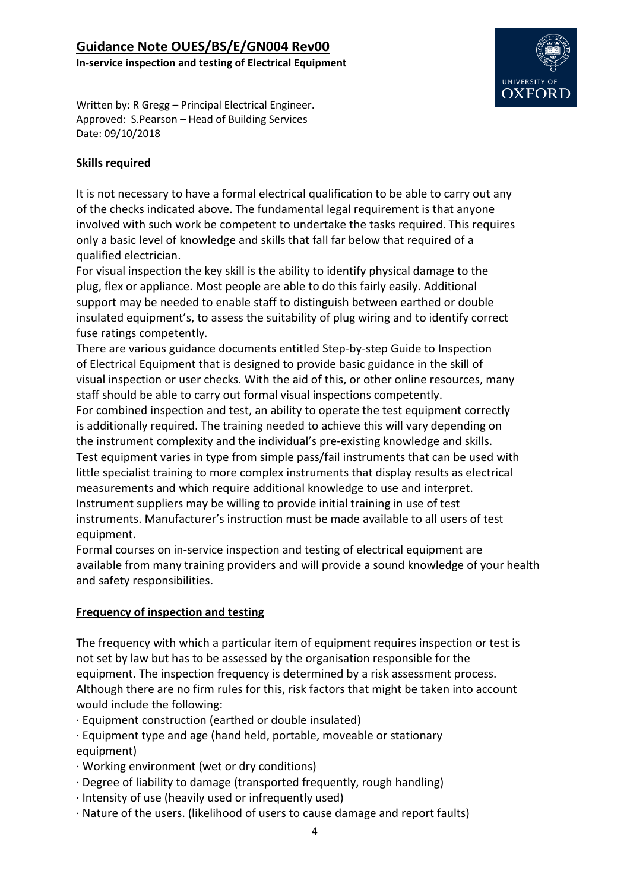

Written by: R Gregg – Principal Electrical Engineer. Approved: S.Pearson – Head of Building Services Date: 09/10/2018

#### **Skills required**

It is not necessary to have a formal electrical qualification to be able to carry out any of the checks indicated above. The fundamental legal requirement is that anyone involved with such work be competent to undertake the tasks required. This requires only a basic level of knowledge and skills that fall far below that required of a qualified electrician.

For visual inspection the key skill is the ability to identify physical damage to the plug, flex or appliance. Most people are able to do this fairly easily. Additional support may be needed to enable staff to distinguish between earthed or double insulated equipment's, to assess the suitability of plug wiring and to identify correct fuse ratings competently.

There are various guidance documents entitled Step-by-step Guide to Inspection of Electrical Equipment that is designed to provide basic guidance in the skill of visual inspection or user checks. With the aid of this, or other online resources, many staff should be able to carry out formal visual inspections competently.

For combined inspection and test, an ability to operate the test equipment correctly is additionally required. The training needed to achieve this will vary depending on the instrument complexity and the individual's pre-existing knowledge and skills. Test equipment varies in type from simple pass/fail instruments that can be used with little specialist training to more complex instruments that display results as electrical measurements and which require additional knowledge to use and interpret. Instrument suppliers may be willing to provide initial training in use of test instruments. Manufacturer's instruction must be made available to all users of test equipment.

Formal courses on in-service inspection and testing of electrical equipment are available from many training providers and will provide a sound knowledge of your health and safety responsibilities.

#### **Frequency of inspection and testing**

The frequency with which a particular item of equipment requires inspection or test is not set by law but has to be assessed by the organisation responsible for the equipment. The inspection frequency is determined by a risk assessment process. Although there are no firm rules for this, risk factors that might be taken into account would include the following:

- · Equipment construction (earthed or double insulated)
- · Equipment type and age (hand held, portable, moveable or stationary equipment)
- · Working environment (wet or dry conditions)
- · Degree of liability to damage (transported frequently, rough handling)
- · Intensity of use (heavily used or infrequently used)
- · Nature of the users. (likelihood of users to cause damage and report faults)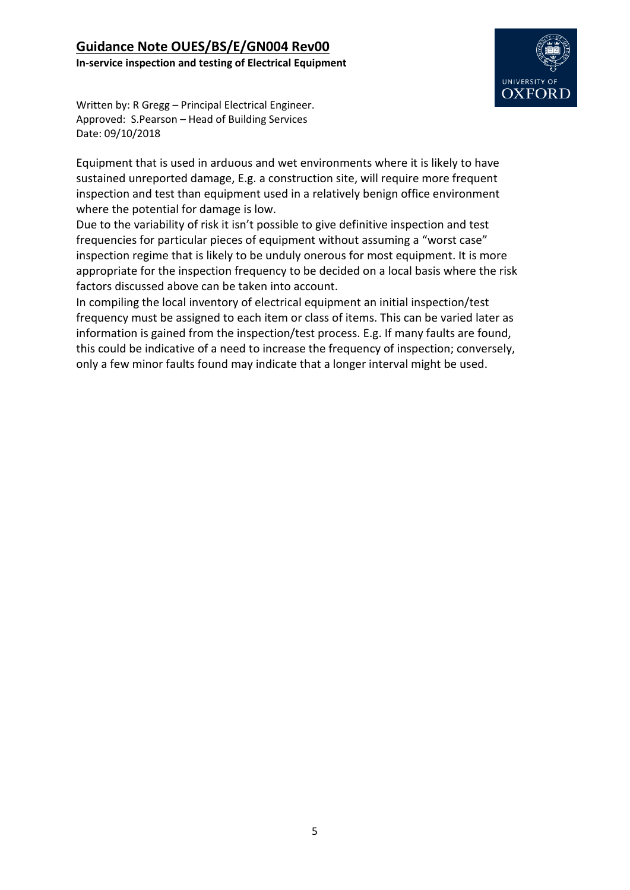

Written by: R Gregg – Principal Electrical Engineer. Approved: S.Pearson – Head of Building Services Date: 09/10/2018

Equipment that is used in arduous and wet environments where it is likely to have sustained unreported damage, E.g. a construction site, will require more frequent inspection and test than equipment used in a relatively benign office environment where the potential for damage is low.

Due to the variability of risk it isn't possible to give definitive inspection and test frequencies for particular pieces of equipment without assuming a "worst case" inspection regime that is likely to be unduly onerous for most equipment. It is more appropriate for the inspection frequency to be decided on a local basis where the risk factors discussed above can be taken into account.

In compiling the local inventory of electrical equipment an initial inspection/test frequency must be assigned to each item or class of items. This can be varied later as information is gained from the inspection/test process. E.g. If many faults are found, this could be indicative of a need to increase the frequency of inspection; conversely, only a few minor faults found may indicate that a longer interval might be used.